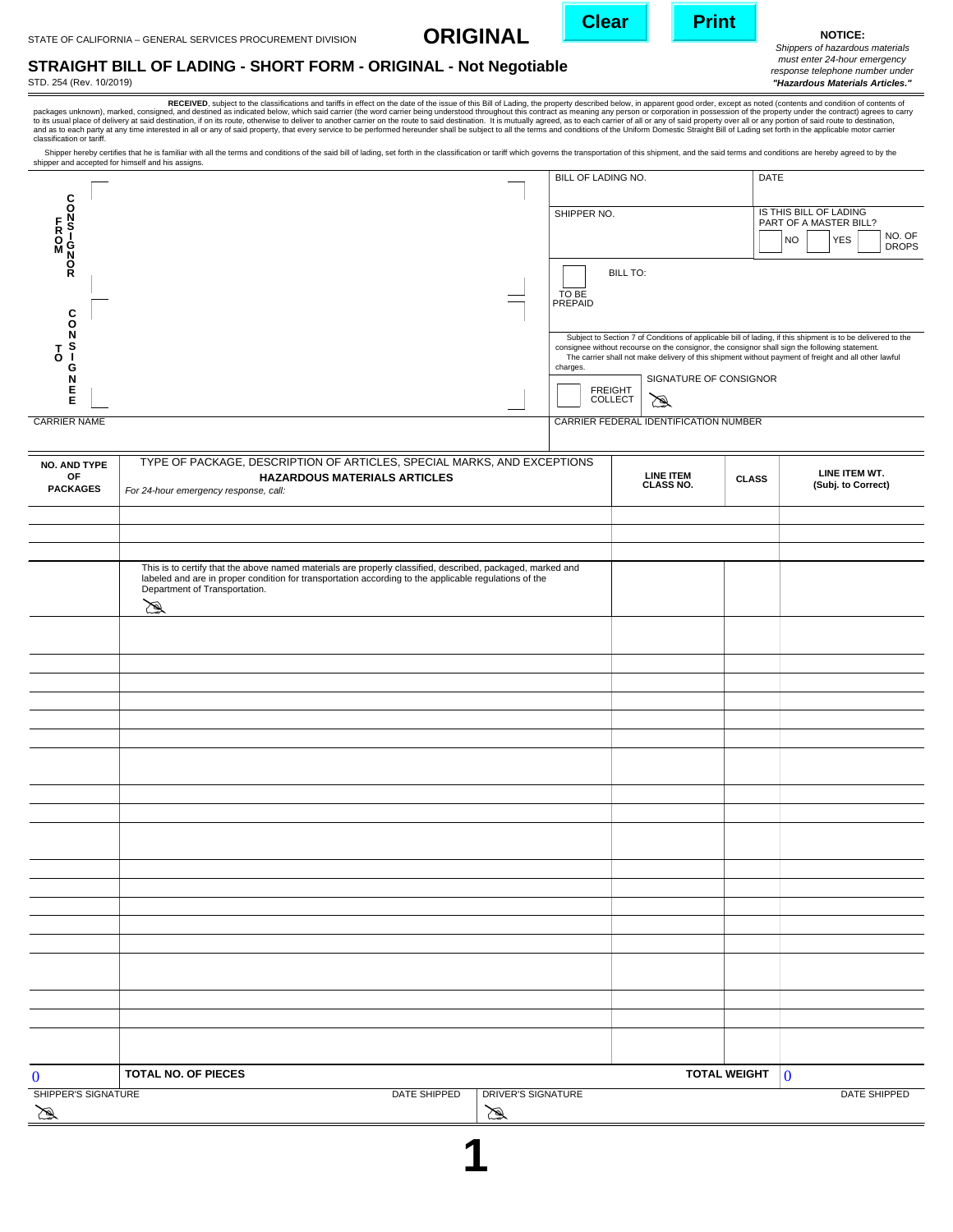**ORIGINAL**



**NOTICE:**

*Shippers of hazardous materials must enter 24-hour emergency response telephone number under "Hazardous Materials Articles."*

## **STRAIGHT BILL OF LADING - SHORT FORM - ORIGINAL - Not Negotiable**

STD. 254 (Rev. 10/2019)

packages unknown), marked, consigned, and destined as indicated below, which said carrier (the word carrier the issue of this Bill of Lading, the property descepted below, when the said destination of contents of the prope

Shipper hereby certifies that he is familiar with all the terms and conditions of the said bill of lading, set forth in the classification or tariff which governs the transportation of this shipment, and the said terms and shipper and accepted for himself and his assigns.

|                         | BILL OF LADING NO.                  |                                        | <b>DATE</b>                                                                                                                                                                                                                                                                                                           |
|-------------------------|-------------------------------------|----------------------------------------|-----------------------------------------------------------------------------------------------------------------------------------------------------------------------------------------------------------------------------------------------------------------------------------------------------------------------|
| C                       |                                     |                                        |                                                                                                                                                                                                                                                                                                                       |
| F.<br><b>RON</b><br>MON | SHIPPER NO.                         |                                        | IS THIS BILL OF LADING<br>PART OF A MASTER BILL?<br>NO. OF<br><b>YES</b><br><b>NO</b><br><b>DROPS</b>                                                                                                                                                                                                                 |
| Ř<br>C<br>ი             | <b>BILL TO:</b><br>TO BE<br>PREPAID |                                        |                                                                                                                                                                                                                                                                                                                       |
| n.<br>G                 | charges.                            |                                        | Subject to Section 7 of Conditions of applicable bill of lading, if this shipment is to be delivered to the<br>consignee without recourse on the consignor, the consignor shall sign the following statement.<br>The carrier shall not make delivery of this shipment without payment of freight and all other lawful |
| E                       | <b>FREIGHT</b><br><b>COLLECT</b>    | SIGNATURE OF CONSIGNOR<br>$\mathbb{Z}$ |                                                                                                                                                                                                                                                                                                                       |
| <b>CARRIER NAME</b>     |                                     | CARRIER FEDERAL IDENTIFICATION NUMBER  |                                                                                                                                                                                                                                                                                                                       |

| <b>NO. AND TYPE</b> | TYPE OF PACKAGE, DESCRIPTION OF ARTICLES, SPECIAL MARKS, AND EXCEPTIONS                                                                                                                                          |                                |                                                     |  |
|---------------------|------------------------------------------------------------------------------------------------------------------------------------------------------------------------------------------------------------------|--------------------------------|-----------------------------------------------------|--|
| OF                  | <b>HAZARDOUS MATERIALS ARTICLES</b>                                                                                                                                                                              | <b>LINE ITEM<br/>CLASS NO.</b> | LINE ITEM WT.<br><b>CLASS</b><br>(Subj. to Correct) |  |
| <b>PACKAGES</b>     | For 24-hour emergency response, call:                                                                                                                                                                            |                                |                                                     |  |
|                     |                                                                                                                                                                                                                  |                                |                                                     |  |
|                     |                                                                                                                                                                                                                  |                                |                                                     |  |
|                     |                                                                                                                                                                                                                  |                                |                                                     |  |
|                     |                                                                                                                                                                                                                  |                                |                                                     |  |
|                     | This is to certify that the above named materials are properly classified, described, packaged, marked and labeled and are in proper condition for transportation according to the applicable regulations of the |                                |                                                     |  |
|                     | Department of Transportation.                                                                                                                                                                                    |                                |                                                     |  |
|                     | 罗                                                                                                                                                                                                                |                                |                                                     |  |
|                     |                                                                                                                                                                                                                  |                                |                                                     |  |
|                     |                                                                                                                                                                                                                  |                                |                                                     |  |
|                     |                                                                                                                                                                                                                  |                                |                                                     |  |
|                     |                                                                                                                                                                                                                  |                                |                                                     |  |
|                     |                                                                                                                                                                                                                  |                                |                                                     |  |
|                     |                                                                                                                                                                                                                  |                                |                                                     |  |
|                     |                                                                                                                                                                                                                  |                                |                                                     |  |
|                     |                                                                                                                                                                                                                  |                                |                                                     |  |
|                     |                                                                                                                                                                                                                  |                                |                                                     |  |
|                     |                                                                                                                                                                                                                  |                                |                                                     |  |
|                     |                                                                                                                                                                                                                  |                                |                                                     |  |
|                     |                                                                                                                                                                                                                  |                                |                                                     |  |
|                     |                                                                                                                                                                                                                  |                                |                                                     |  |
|                     |                                                                                                                                                                                                                  |                                |                                                     |  |
|                     |                                                                                                                                                                                                                  |                                |                                                     |  |
|                     |                                                                                                                                                                                                                  |                                |                                                     |  |
|                     |                                                                                                                                                                                                                  |                                |                                                     |  |
|                     |                                                                                                                                                                                                                  |                                |                                                     |  |
|                     |                                                                                                                                                                                                                  |                                |                                                     |  |
|                     |                                                                                                                                                                                                                  |                                |                                                     |  |
|                     |                                                                                                                                                                                                                  |                                |                                                     |  |
|                     |                                                                                                                                                                                                                  |                                |                                                     |  |
|                     |                                                                                                                                                                                                                  |                                |                                                     |  |
|                     |                                                                                                                                                                                                                  |                                |                                                     |  |
|                     |                                                                                                                                                                                                                  |                                |                                                     |  |
|                     |                                                                                                                                                                                                                  |                                |                                                     |  |
| $\bf{0}$            | TOTAL NO. OF PIECES                                                                                                                                                                                              |                                | <b>TOTAL WEIGHT</b><br>$\overline{\mathbf{0}}$      |  |
| SHIPPER'S SIGNATURE | DATE SHIPPED<br><b>DRIVER'S SIGNATURE</b>                                                                                                                                                                        |                                | DATE SHIPPED                                        |  |
| B                   | B                                                                                                                                                                                                                |                                |                                                     |  |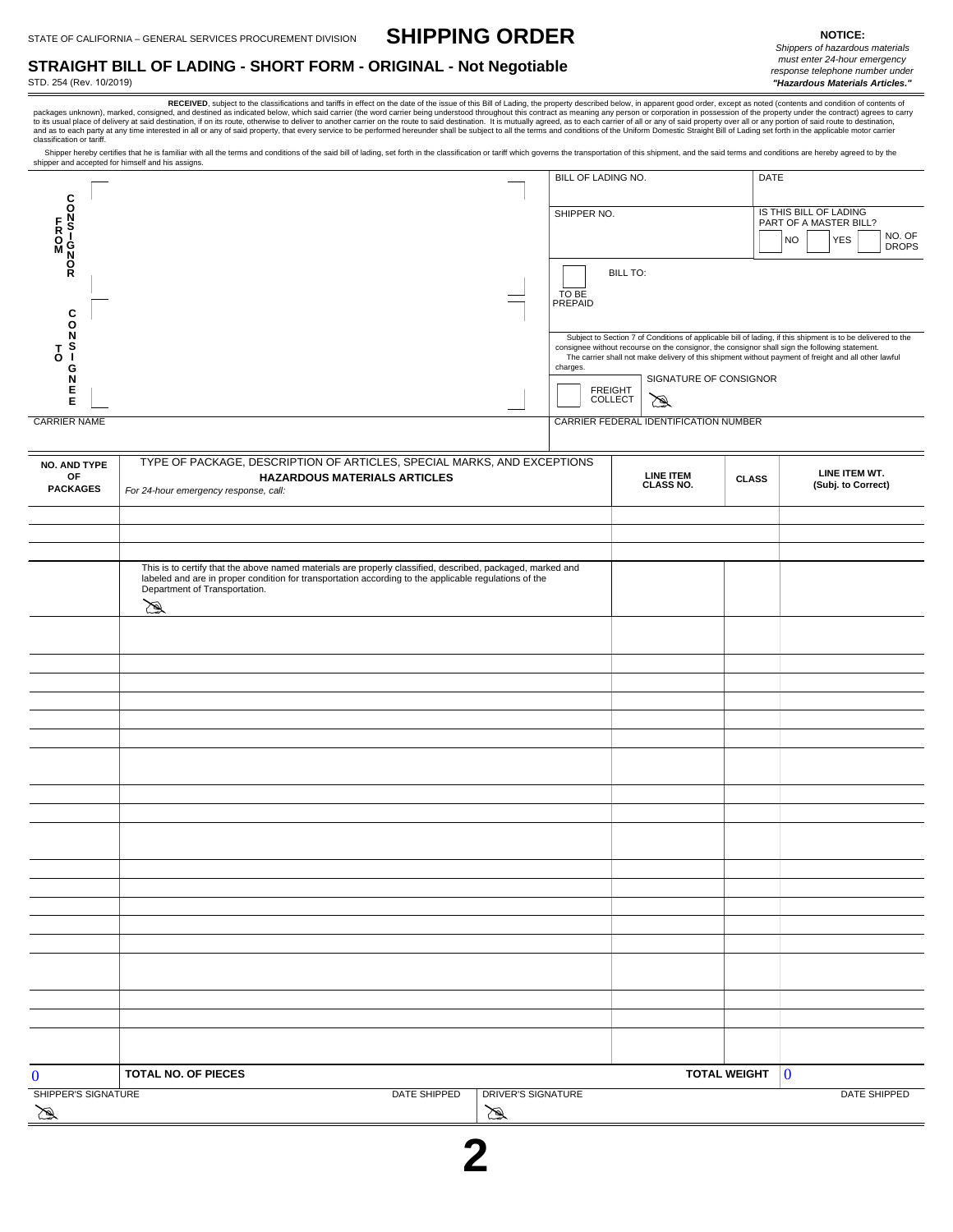**SHIPPING ORDER**

**STRAIGHT BILL OF LADING - SHORT FORM - ORIGINAL - Not Negotiable**

STD. 254 (Rev. 10/2019)

*Shippers of hazardous materials must enter 24-hour emergency response telephone number under "Hazardous Materials Articles."*

RECEUVED, subject to the classifications and tariffs in effect on the date of the issue of this Bill of Lading, the property described below, in apparent good order, except as noted (contents and condition of contents of<br>D

Shipper hereby certifies that he is familiar with all the terms and conditions of the said bill of lading, set forth in the classification or tariff which governs the transportation of this shipment, and the said terms and shipper and accepted for himself and his assigns.

|                       | BILL OF LADING NO.                  |                                        | <b>DATE</b>                                                                                                                                                                                                                                                                                                           |
|-----------------------|-------------------------------------|----------------------------------------|-----------------------------------------------------------------------------------------------------------------------------------------------------------------------------------------------------------------------------------------------------------------------------------------------------------------------|
| C<br>O<br>M<br>N<br>N | SHIPPER NO.                         |                                        | IS THIS BILL OF LADING<br>PART OF A MASTER BILL?<br>NO. OF<br><b>YES</b><br><b>NO</b><br><b>DROPS</b>                                                                                                                                                                                                                 |
| $\frac{0}{R}$<br>С    | <b>BILL TO:</b><br>TO BE<br>PREPAID |                                        |                                                                                                                                                                                                                                                                                                                       |
| O                     | charges.                            |                                        | Subject to Section 7 of Conditions of applicable bill of lading, if this shipment is to be delivered to the<br>consignee without recourse on the consignor, the consignor shall sign the following statement.<br>The carrier shall not make delivery of this shipment without payment of freight and all other lawful |
| Е<br>Е                | <b>FREIGHT</b><br><b>COLLECT</b>    | SIGNATURE OF CONSIGNOR<br>$\mathbb{Z}$ |                                                                                                                                                                                                                                                                                                                       |
| <b>CARRIER NAME</b>   |                                     | CARRIER FEDERAL IDENTIFICATION NUMBER  |                                                                                                                                                                                                                                                                                                                       |

| NO. AND TYPE                    | TYPE OF PACKAGE, DESCRIPTION OF ARTICLES, SPECIAL MARKS, AND EXCEPTIONS                                                                                                                                                                                |                                |                     |                                     |  |
|---------------------------------|--------------------------------------------------------------------------------------------------------------------------------------------------------------------------------------------------------------------------------------------------------|--------------------------------|---------------------|-------------------------------------|--|
| OF<br><b>PACKAGES</b>           | <b>HAZARDOUS MATERIALS ARTICLES</b><br>For 24-hour emergency response, call:                                                                                                                                                                           | <b>LINE ITEM<br/>CLASS NO.</b> | <b>CLASS</b>        | LINE ITEM WT.<br>(Subj. to Correct) |  |
|                                 |                                                                                                                                                                                                                                                        |                                |                     |                                     |  |
|                                 |                                                                                                                                                                                                                                                        |                                |                     |                                     |  |
|                                 |                                                                                                                                                                                                                                                        |                                |                     |                                     |  |
|                                 | This is to certify that the above named materials are properly classified, described, packaged, marked and labeled and are in proper condition for transportation according to the applicable regulations of the<br>Department of Transportation.<br>図 |                                |                     |                                     |  |
|                                 |                                                                                                                                                                                                                                                        |                                |                     |                                     |  |
|                                 |                                                                                                                                                                                                                                                        |                                |                     |                                     |  |
|                                 |                                                                                                                                                                                                                                                        |                                |                     |                                     |  |
|                                 |                                                                                                                                                                                                                                                        |                                |                     |                                     |  |
|                                 |                                                                                                                                                                                                                                                        |                                |                     |                                     |  |
|                                 |                                                                                                                                                                                                                                                        |                                |                     |                                     |  |
|                                 |                                                                                                                                                                                                                                                        |                                |                     |                                     |  |
|                                 |                                                                                                                                                                                                                                                        |                                |                     |                                     |  |
|                                 |                                                                                                                                                                                                                                                        |                                |                     |                                     |  |
|                                 |                                                                                                                                                                                                                                                        |                                |                     |                                     |  |
|                                 |                                                                                                                                                                                                                                                        |                                |                     |                                     |  |
|                                 |                                                                                                                                                                                                                                                        |                                |                     |                                     |  |
|                                 |                                                                                                                                                                                                                                                        |                                |                     |                                     |  |
|                                 |                                                                                                                                                                                                                                                        |                                |                     |                                     |  |
|                                 |                                                                                                                                                                                                                                                        |                                |                     |                                     |  |
|                                 |                                                                                                                                                                                                                                                        |                                |                     |                                     |  |
|                                 |                                                                                                                                                                                                                                                        |                                |                     |                                     |  |
|                                 |                                                                                                                                                                                                                                                        |                                |                     |                                     |  |
|                                 |                                                                                                                                                                                                                                                        |                                |                     |                                     |  |
|                                 |                                                                                                                                                                                                                                                        |                                |                     |                                     |  |
|                                 |                                                                                                                                                                                                                                                        |                                |                     |                                     |  |
|                                 |                                                                                                                                                                                                                                                        |                                |                     |                                     |  |
|                                 |                                                                                                                                                                                                                                                        |                                |                     |                                     |  |
| $\bf{0}$                        | TOTAL NO. OF PIECES                                                                                                                                                                                                                                    |                                | <b>TOTAL WEIGHT</b> | $\bf{0}$                            |  |
| <b>SHIPPER'S SIGNATURE</b><br>B | DATE SHIPPED<br><b>DRIVER'S SIGNATURE</b><br>∕≋                                                                                                                                                                                                        |                                |                     | DATE SHIPPED                        |  |
|                                 |                                                                                                                                                                                                                                                        |                                |                     |                                     |  |

**2**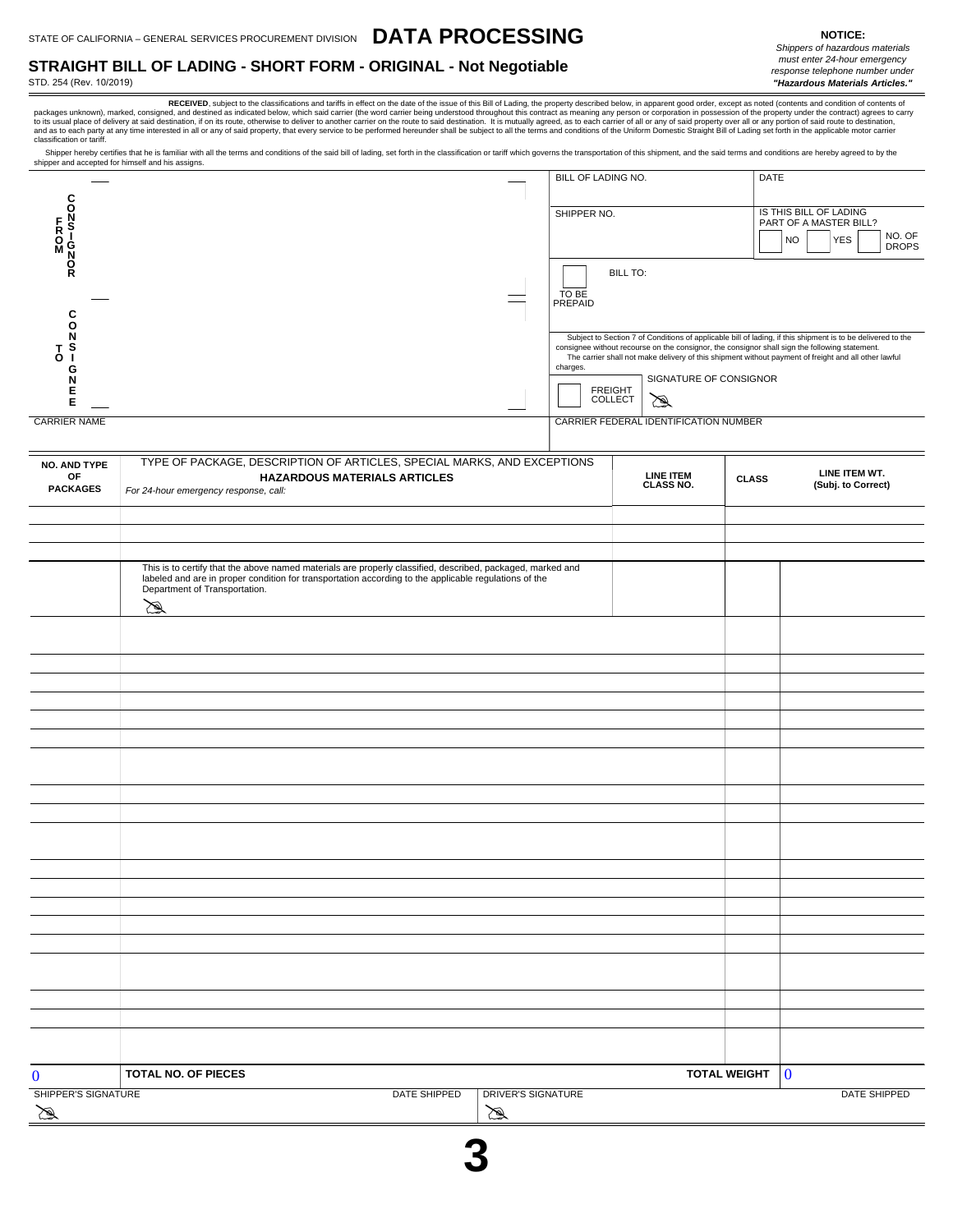## **STRAIGHT BILL OF LADING - SHORT FORM - ORIGINAL - Not Negotiable**

STD. 254 (Rev. 10/2019)

RECEIVED, subject to the classifications and tariffs in effect on the date of the issue of this Bill of Lading, the property described below, in apparent good order, except as noted (contents and condition of contents of packages unknown), marked, consigned, and destined as indicated below, which said carrier (the word carrier being understood throughout this contract as meaning any person or corporation in possession of the property under

Shipper hereby certifies that he is familiar with all the terms and conditions of the said bill of lading, set forth in the classification or tariff which governs the transportation of this shipment, and the said terms and shipper and accepted for himself and his assigns.

|                              | <b>BILL OF LADING NO.</b>           |                                       | <b>DATE</b>                                                                                                                                                                                                                                                                                                           |
|------------------------------|-------------------------------------|---------------------------------------|-----------------------------------------------------------------------------------------------------------------------------------------------------------------------------------------------------------------------------------------------------------------------------------------------------------------------|
| C                            |                                     |                                       |                                                                                                                                                                                                                                                                                                                       |
| F.<br>Ŝ<br><b>RON</b><br>MON | SHIPPER NO.                         |                                       | IS THIS BILL OF LADING<br>PART OF A MASTER BILL?<br>NO. OF<br><b>YES</b><br><b>NO</b><br><b>DROPS</b>                                                                                                                                                                                                                 |
| o<br>C                       | <b>BILL TO:</b><br>TO BE<br>PREPAID |                                       |                                                                                                                                                                                                                                                                                                                       |
| ъ<br>O.<br>G                 | charges.                            |                                       | Subject to Section 7 of Conditions of applicable bill of lading, if this shipment is to be delivered to the<br>consignee without recourse on the consignor, the consignor shall sign the following statement.<br>The carrier shall not make delivery of this shipment without payment of freight and all other lawful |
| E                            | <b>FREIGHT</b><br><b>COLLECT</b>    | SIGNATURE OF CONSIGNOR<br>☎           |                                                                                                                                                                                                                                                                                                                       |
| <b>CARRIER NAME</b>          |                                     | CARRIER FEDERAL IDENTIFICATION NUMBER |                                                                                                                                                                                                                                                                                                                       |

| <b>NO. AND TYPE</b> | TYPE OF PACKAGE, DESCRIPTION OF ARTICLES, SPECIAL MARKS, AND EXCEPTIONS                                                                                                                                                                           |                    |                                |                     |               |
|---------------------|---------------------------------------------------------------------------------------------------------------------------------------------------------------------------------------------------------------------------------------------------|--------------------|--------------------------------|---------------------|---------------|
| OF                  | <b>HAZARDOUS MATERIALS ARTICLES</b>                                                                                                                                                                                                               |                    | <b>LINE ITEM<br/>CLASS NO.</b> | <b>CLASS</b>        | LINE ITEM WT. |
| <b>PACKAGES</b>     | For 24-hour emergency response, call:                                                                                                                                                                                                             |                    |                                | (Subj. to Correct)  |               |
|                     |                                                                                                                                                                                                                                                   |                    |                                |                     |               |
|                     |                                                                                                                                                                                                                                                   |                    |                                |                     |               |
|                     |                                                                                                                                                                                                                                                   |                    |                                |                     |               |
|                     |                                                                                                                                                                                                                                                   |                    |                                |                     |               |
|                     | This is to certify that the above named materials are properly classified, described, packaged, marked and labeled and are in proper condition for transportation according to the applicable regulations of the<br>Department of Transportation. |                    |                                |                     |               |
|                     | 図                                                                                                                                                                                                                                                 |                    |                                |                     |               |
|                     |                                                                                                                                                                                                                                                   |                    |                                |                     |               |
|                     |                                                                                                                                                                                                                                                   |                    |                                |                     |               |
|                     |                                                                                                                                                                                                                                                   |                    |                                |                     |               |
|                     |                                                                                                                                                                                                                                                   |                    |                                |                     |               |
|                     |                                                                                                                                                                                                                                                   |                    |                                |                     |               |
|                     |                                                                                                                                                                                                                                                   |                    |                                |                     |               |
|                     |                                                                                                                                                                                                                                                   |                    |                                |                     |               |
|                     |                                                                                                                                                                                                                                                   |                    |                                |                     |               |
|                     |                                                                                                                                                                                                                                                   |                    |                                |                     |               |
|                     |                                                                                                                                                                                                                                                   |                    |                                |                     |               |
|                     |                                                                                                                                                                                                                                                   |                    |                                |                     |               |
|                     |                                                                                                                                                                                                                                                   |                    |                                |                     |               |
|                     |                                                                                                                                                                                                                                                   |                    |                                |                     |               |
|                     |                                                                                                                                                                                                                                                   |                    |                                |                     |               |
|                     |                                                                                                                                                                                                                                                   |                    |                                |                     |               |
|                     |                                                                                                                                                                                                                                                   |                    |                                |                     |               |
|                     |                                                                                                                                                                                                                                                   |                    |                                |                     |               |
|                     |                                                                                                                                                                                                                                                   |                    |                                |                     |               |
|                     |                                                                                                                                                                                                                                                   |                    |                                |                     |               |
|                     |                                                                                                                                                                                                                                                   |                    |                                |                     |               |
|                     |                                                                                                                                                                                                                                                   |                    |                                |                     |               |
|                     |                                                                                                                                                                                                                                                   |                    |                                |                     |               |
|                     |                                                                                                                                                                                                                                                   |                    |                                |                     |               |
|                     |                                                                                                                                                                                                                                                   |                    |                                |                     |               |
|                     |                                                                                                                                                                                                                                                   |                    |                                |                     |               |
| $\bf{0}$            | TOTAL NO. OF PIECES                                                                                                                                                                                                                               |                    |                                | <b>TOTAL WEIGHT</b> | $\bf{0}$      |
| SHIPPER'S SIGNATURE | DATE SHIPPED                                                                                                                                                                                                                                      | DRIVER'S SIGNATURE |                                |                     | DATE SHIPPED  |
| 凤                   |                                                                                                                                                                                                                                                   | 図                  |                                |                     |               |
|                     |                                                                                                                                                                                                                                                   |                    |                                |                     |               |

**3**

**NOTICE:**

*Shippers of hazardous materials must enter 24-hour emergency response telephone number under "Hazardous Materials Articles."*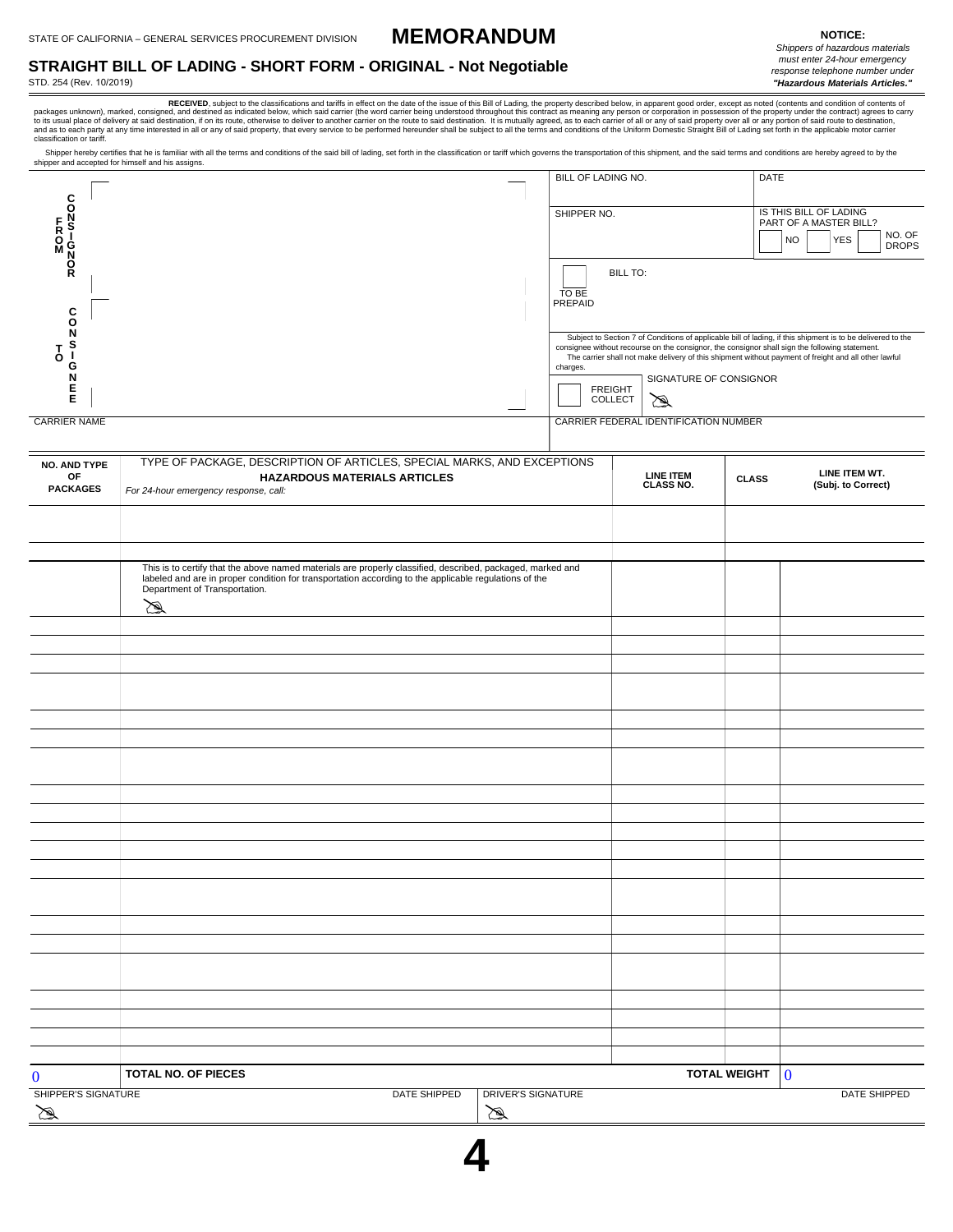**MEMORANDUM**

## **STRAIGHT BILL OF LADING - SHORT FORM - ORIGINAL - Not Negotiable**

STD. 254 (Rev. 10/2019)

*must enter 24-hour emergency response telephone number under "Hazardous Materials Articles."*

packages unknown), marked, consigned, and destined as indicated below, which said carrier (the word carrier beind understood throughout this contract as meaning any person or corporation in possession of the property under

Shipper hereby certifies that he is familiar with all the terms and conditions of the said bill of lading, set forth in the classification or tariff which governs the transportation of this shipment, and the said terms and shipper and accepted for himself and his assigns.

| C                       | BILL OF LADING NO.                  |                                       | <b>DATE</b>                                                                                                                                                                                                                                                                                                           |
|-------------------------|-------------------------------------|---------------------------------------|-----------------------------------------------------------------------------------------------------------------------------------------------------------------------------------------------------------------------------------------------------------------------------------------------------------------------|
| י<br>o i<br>N           | SHIPPER NO.                         |                                       | IS THIS BILL OF LADING<br>PART OF A MASTER BILL?<br>NO. OF<br><b>YES</b><br><b>NO</b><br><b>DROPS</b>                                                                                                                                                                                                                 |
| $\frac{0}{R}$<br>C<br>O | <b>BILL TO:</b><br>TO BE<br>PREPAID |                                       |                                                                                                                                                                                                                                                                                                                       |
| O<br>G                  | charges.                            |                                       | Subject to Section 7 of Conditions of applicable bill of lading, if this shipment is to be delivered to the<br>consignee without recourse on the consignor, the consignor shall sign the following statement.<br>The carrier shall not make delivery of this shipment without payment of freight and all other lawful |
| Е<br>E                  | <b>FREIGHT</b><br><b>COLLECT</b>    | SIGNATURE OF CONSIGNOR<br>☎           |                                                                                                                                                                                                                                                                                                                       |
| <b>CARRIER NAME</b>     |                                     | CARRIER FEDERAL IDENTIFICATION NUMBER |                                                                                                                                                                                                                                                                                                                       |

| <b>NO. AND TYPE</b>                 | TYPE OF PACKAGE, DESCRIPTION OF ARTICLES, SPECIAL MARKS, AND EXCEPTIONS                                                                                                                                                                                |                                    |                                |                         |                                     |
|-------------------------------------|--------------------------------------------------------------------------------------------------------------------------------------------------------------------------------------------------------------------------------------------------------|------------------------------------|--------------------------------|-------------------------|-------------------------------------|
| OF<br><b>PACKAGES</b>               | <b>HAZARDOUS MATERIALS ARTICLES</b><br>For 24-hour emergency response, call:                                                                                                                                                                           |                                    | <b>LINE ITEM<br/>CLASS NO.</b> | <b>CLASS</b>            | LINE ITEM WT.<br>(Subj. to Correct) |
|                                     |                                                                                                                                                                                                                                                        |                                    |                                |                         |                                     |
|                                     |                                                                                                                                                                                                                                                        |                                    |                                |                         |                                     |
|                                     |                                                                                                                                                                                                                                                        |                                    |                                |                         |                                     |
|                                     | This is to certify that the above named materials are properly classified, described, packaged, marked and labeled and are in proper condition for transportation according to the applicable regulations of the<br>Department of Transportation.<br>⊠ |                                    |                                |                         |                                     |
|                                     |                                                                                                                                                                                                                                                        |                                    |                                |                         |                                     |
|                                     |                                                                                                                                                                                                                                                        |                                    |                                |                         |                                     |
|                                     |                                                                                                                                                                                                                                                        |                                    |                                |                         |                                     |
|                                     |                                                                                                                                                                                                                                                        |                                    |                                |                         |                                     |
|                                     |                                                                                                                                                                                                                                                        |                                    |                                |                         |                                     |
|                                     |                                                                                                                                                                                                                                                        |                                    |                                |                         |                                     |
|                                     |                                                                                                                                                                                                                                                        |                                    |                                |                         |                                     |
|                                     |                                                                                                                                                                                                                                                        |                                    |                                |                         |                                     |
|                                     |                                                                                                                                                                                                                                                        |                                    |                                |                         |                                     |
|                                     |                                                                                                                                                                                                                                                        |                                    |                                |                         |                                     |
|                                     |                                                                                                                                                                                                                                                        |                                    |                                |                         |                                     |
|                                     |                                                                                                                                                                                                                                                        |                                    |                                |                         |                                     |
|                                     |                                                                                                                                                                                                                                                        |                                    |                                |                         |                                     |
|                                     |                                                                                                                                                                                                                                                        |                                    |                                |                         |                                     |
|                                     |                                                                                                                                                                                                                                                        |                                    |                                |                         |                                     |
|                                     |                                                                                                                                                                                                                                                        |                                    |                                |                         |                                     |
|                                     |                                                                                                                                                                                                                                                        |                                    |                                |                         |                                     |
|                                     |                                                                                                                                                                                                                                                        |                                    |                                |                         |                                     |
|                                     |                                                                                                                                                                                                                                                        |                                    |                                |                         |                                     |
|                                     |                                                                                                                                                                                                                                                        |                                    |                                |                         |                                     |
|                                     |                                                                                                                                                                                                                                                        |                                    |                                |                         |                                     |
|                                     |                                                                                                                                                                                                                                                        |                                    |                                |                         |                                     |
|                                     |                                                                                                                                                                                                                                                        |                                    |                                |                         |                                     |
|                                     |                                                                                                                                                                                                                                                        |                                    |                                |                         |                                     |
| $\bf{0}$                            | TOTAL NO. OF PIECES                                                                                                                                                                                                                                    |                                    | <b>TOTAL WEIGHT</b>            | $\overline{\mathbf{0}}$ |                                     |
| SHIPPER'S SIGNATURE<br>$\mathbb{Z}$ | DATE SHIPPED                                                                                                                                                                                                                                           | DRIVER'S SIGNATURE<br>$\mathbb{Z}$ |                                |                         | DATE SHIPPED                        |

**4**